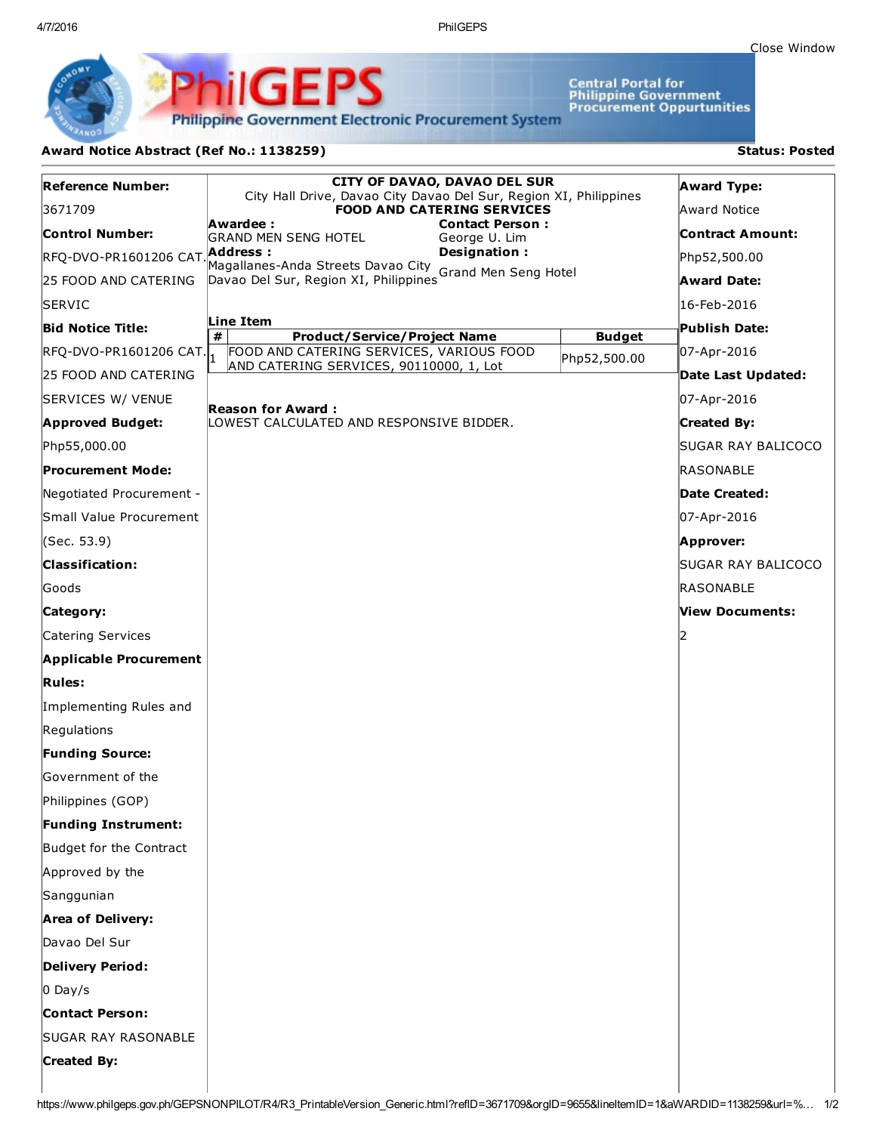4/7/2016 PhilGEPS

Central Portal for<br>Philippine Government<br>Procurement Oppurtunities

**Philippine Government Electronic Procurement System** 

PS

iliGEI

## Award Notice Abstract (Ref No.: 1138259) Status: Posted

Ph

| Reference Number:               | <b>CITY OF DAVAO, DAVAO DEL SUR</b>                                                                                                                                                                    |                    | <b>Award Type:</b> |
|---------------------------------|--------------------------------------------------------------------------------------------------------------------------------------------------------------------------------------------------------|--------------------|--------------------|
| 3671709                         | City Hall Drive, Davao City Davao Del Sur, Region XI, Philippines<br><b>FOOD AND CATERING SERVICES</b>                                                                                                 |                    | Award Notice       |
| <b>Control Number:</b>          | Awardee :<br><b>Contact Person:</b>                                                                                                                                                                    |                    | Contract Amount:   |
| RFQ-DVO-PR1601206 CAT Address : | <b>GRAND MEN SENG HOTEL</b><br>George U. Lim<br>Designation:<br>Magallanes-Anda Streets Davao City<br>Magallanes-Anda Streets Davao City Grand Men Seng Hotel<br>Davao Del Sur, Region XI, Philippines |                    | Php52,500.00       |
| 25 FOOD AND CATERING            |                                                                                                                                                                                                        |                    | <b>Award Date:</b> |
| <b>SERVIC</b>                   |                                                                                                                                                                                                        |                    | 16-Feb-2016        |
| <b>Bid Notice Title:</b>        | Line Item                                                                                                                                                                                              |                    | Publish Date:      |
| RFQ-DVO-PR1601206 CAT.          | #<br><b>Product/Service/Project Name</b><br>FOOD AND CATERING SERVICES, VARIOUS FOOD                                                                                                                   | <b>Budget</b>      | 07-Apr-2016        |
| 25 FOOD AND CATERING            | AND CATERING SERVICES, 90110000, 1, Lot                                                                                                                                                                | Php52,500.00       | Date Last Updated: |
| SERVICES W/ VENUE               | Reason for Award :<br>LOWEST CALCULATED AND RESPONSIVE BIDDER.                                                                                                                                         |                    | 07-Apr-2016        |
| <b>Approved Budget:</b>         |                                                                                                                                                                                                        |                    | <b>Created By:</b> |
| Php55,000.00                    |                                                                                                                                                                                                        |                    | SUGAR RAY BALICOCO |
| <b>Procurement Mode:</b>        |                                                                                                                                                                                                        |                    | RASONABLE          |
| Negotiated Procurement -        |                                                                                                                                                                                                        |                    | Date Created:      |
| Small Value Procurement         |                                                                                                                                                                                                        |                    | 07-Apr-2016        |
| (Sec. 53.9)                     |                                                                                                                                                                                                        |                    | Approver:          |
| <b>Classification:</b>          |                                                                                                                                                                                                        | SUGAR RAY BALICOCO |                    |
| Goods                           |                                                                                                                                                                                                        | RASONABLE          |                    |
| Category:                       |                                                                                                                                                                                                        | View Documents:    |                    |
| Catering Services               |                                                                                                                                                                                                        |                    |                    |
| <b>Applicable Procurement</b>   |                                                                                                                                                                                                        |                    |                    |
| <b>Rules:</b>                   |                                                                                                                                                                                                        |                    |                    |
| Implementing Rules and          |                                                                                                                                                                                                        |                    |                    |
| Regulations                     |                                                                                                                                                                                                        |                    |                    |
| <b>Funding Source:</b>          |                                                                                                                                                                                                        |                    |                    |
| <b>Government of the</b>        |                                                                                                                                                                                                        |                    |                    |
| Philippines (GOP)               |                                                                                                                                                                                                        |                    |                    |
| <b>Funding Instrument:</b>      |                                                                                                                                                                                                        |                    |                    |
| Budget for the Contract         |                                                                                                                                                                                                        |                    |                    |
| Approved by the                 |                                                                                                                                                                                                        |                    |                    |
| Sanggunian                      |                                                                                                                                                                                                        |                    |                    |
| <b>Area of Delivery:</b>        |                                                                                                                                                                                                        |                    |                    |
| Davao Del Sur                   |                                                                                                                                                                                                        |                    |                    |
| <b>Delivery Period:</b>         |                                                                                                                                                                                                        |                    |                    |
| $0$ Day/s                       |                                                                                                                                                                                                        |                    |                    |
| <b>Contact Person:</b>          |                                                                                                                                                                                                        |                    |                    |
| <b>SUGAR RAY RASONABLE</b>      |                                                                                                                                                                                                        |                    |                    |
| <b>Created By:</b>              |                                                                                                                                                                                                        |                    |                    |
|                                 |                                                                                                                                                                                                        |                    |                    |